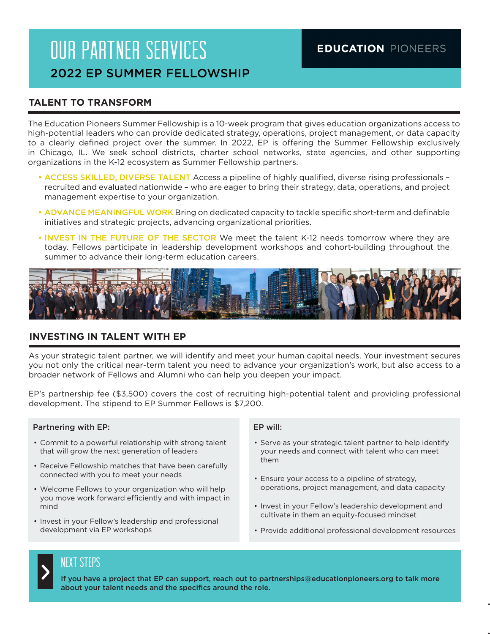# OUR PARTNER SERVICES 2022 EP SUMMER FELLOWSHIP

#### **TALENT TO TRANSFORM**

The Education Pioneers Summer Fellowship is a 10-week program that gives education organizations access to high-potential leaders who can provide dedicated strategy, operations, project management, or data capacity to a clearly defined project over the summer. In 2022, EP is offering the Summer Fellowship exclusively in Chicago, IL. We seek school districts, charter school networks, state agencies, and other supporting organizations in the K-12 ecosystem as Summer Fellowship partners.

- ACCESS SKILLED, DIVERSE TALENT Access a pipeline of highly qualified, diverse rising professionals recruited and evaluated nationwide – who are eager to bring their strategy, data, operations, and project management expertise to your organization.
- ADVANCE MEANINGFUL WORK Bring on dedicated capacity to tackle specific short-term and definable initiatives and strategic projects, advancing organizational priorities.
- INVEST IN THE FUTURE OF THE SECTOR We meet the talent K-12 needs tomorrow where they are today. Fellows participate in leadership development workshops and cohort-building throughout the summer to advance their long-term education careers.



#### **INVESTING IN TALENT WITH EP**

As your strategic talent partner, we will identify and meet your human capital needs. Your investment secures you not only the critical near-term talent you need to advance your organization's work, but also access to a broader network of Fellows and Alumni who can help you deepen your impact.

EP's partnership fee (\$3,500) covers the cost of recruiting high-potential talent and providing professional development. The stipend to EP Summer Fellows is \$7,200.

#### Partnering with EP:

- Commit to a powerful relationship with strong talent that will grow the next generation of leaders
- Receive Fellowship matches that have been carefully connected with you to meet your needs
- Welcome Fellows to your organization who will help you move work forward efficiently and with impact in mind
- Invest in your Fellow's leadership and professional development via EP workshops

#### EP will:

- Serve as your strategic talent partner to help identify your needs and connect with talent who can meet them
- Ensure your access to a pipeline of strategy, operations, project management, and data capacity
- Invest in your Fellow's leadership development and cultivate in them an equity-focused mindset
- Provide additional professional development resources

•  $\blacksquare$ 

• Implement and launch new

# ><br>>

#### NEXT STEPS

If you have a project that EP can support, reach out to partnerships@educationpioneers.org to talk more about your talent needs and the specifics around the role.